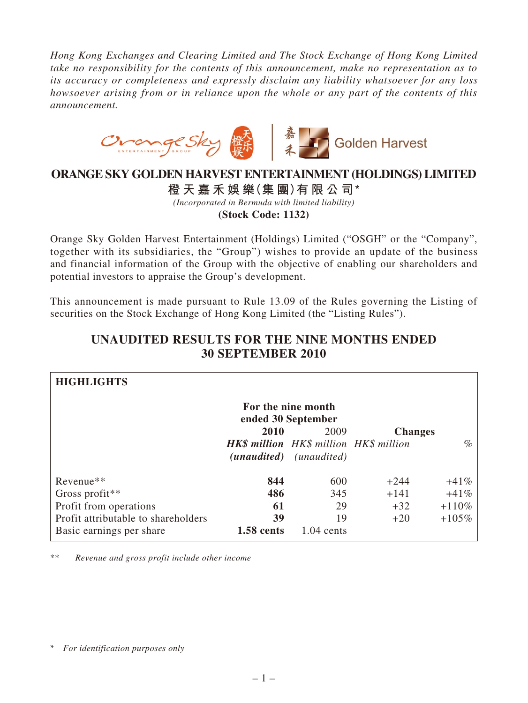*Hong Kong Exchanges and Clearing Limited and The Stock Exchange of Hong Kong Limited take no responsibility for the contents of this announcement, make no representation as to its accuracy or completeness and expressly disclaim any liability whatsoever for any loss howsoever arising from or in reliance upon the whole or any part of the contents of this announcement.*



## **ORANGE SKY GOLDEN HARVEST ENTERTAINMENT (HOLDINGS) LIMITED**

**橙 天 嘉 禾 娛 樂(集 團)有 限 公 司 \*** *(Incorporated in Bermuda with limited liability)* **(Stock Code: 1132)**

Orange Sky Golden Harvest Entertainment (Holdings) Limited ("OSGH" or the "Company", together with its subsidiaries, the "Group") wishes to provide an update of the business and financial information of the Group with the objective of enabling our shareholders and potential investors to appraise the Group's development.

This announcement is made pursuant to Rule 13.09 of the Rules governing the Listing of securities on the Stock Exchange of Hong Kong Limited (the "Listing Rules").

| <b>HIGHLIGHTS</b>                        |                   |                                               |                |         |  |  |
|------------------------------------------|-------------------|-----------------------------------------------|----------------|---------|--|--|
| For the nine month<br>ended 30 September |                   |                                               |                |         |  |  |
|                                          | 2010              | 2009                                          | <b>Changes</b> |         |  |  |
|                                          |                   | <b>HK\$</b> million HK\$ million HK\$ million |                | $\%$    |  |  |
|                                          |                   | ( <i>unaudited</i> ) ( <i>unaudited</i> )     |                |         |  |  |
| Revenue**                                | 844               | 600                                           | $+244$         | $+41%$  |  |  |
| Gross profit**                           | 486               | 345                                           | $+141$         | $+41%$  |  |  |
| Profit from operations                   | 61                | 29                                            | $+32$          | $+110%$ |  |  |
| Profit attributable to shareholders      | 39                | 19                                            | $+20$          | $+105%$ |  |  |
| Basic earnings per share                 | <b>1.58 cents</b> | $1.04$ cents                                  |                |         |  |  |

## **UNAUDITED RESULTS FOR THE NINE MONTHS ENDED 30 SEPTEMBER 2010**

\*\* *Revenue and gross profit include other income*

<sup>\*</sup> *For identification purposes only*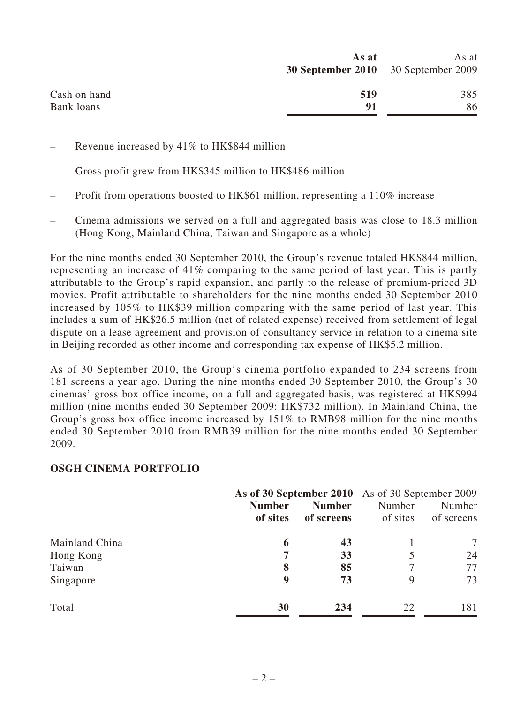| As at | As at                                      |
|-------|--------------------------------------------|
|       |                                            |
|       |                                            |
| 519   | 385                                        |
| 91    | 86                                         |
|       | <b>30 September 2010</b> 30 September 2009 |

- Revenue increased by 41% to HK\$844 million
- Gross profit grew from HK\$345 million to HK\$486 million
- Profit from operations boosted to HK\$61 million, representing a 110% increase
- Cinema admissions we served on a full and aggregated basis was close to 18.3 million (Hong Kong, Mainland China, Taiwan and Singapore as a whole)

For the nine months ended 30 September 2010, the Group's revenue totaled HK\$844 million, representing an increase of 41% comparing to the same period of last year. This is partly attributable to the Group's rapid expansion, and partly to the release of premium-priced 3D movies. Profit attributable to shareholders for the nine months ended 30 September 2010 increased by 105% to HK\$39 million comparing with the same period of last year. This includes a sum of HK\$26.5 million (net of related expense) received from settlement of legal dispute on a lease agreement and provision of consultancy service in relation to a cinema site in Beijing recorded as other income and corresponding tax expense of HK\$5.2 million.

As of 30 September 2010, the Group's cinema portfolio expanded to 234 screens from 181 screens a year ago. During the nine months ended 30 September 2010, the Group's 30 cinemas' gross box office income, on a full and aggregated basis, was registered at HK\$994 million (nine months ended 30 September 2009: HK\$732 million). In Mainland China, the Group's gross box office income increased by 151% to RMB98 million for the nine months ended 30 September 2010 from RMB39 million for the nine months ended 30 September 2009.

## **OSGH CINEMA PORTFOLIO**

|                | As of 30 September 2010 As of 30 September 2009 |               |          |            |
|----------------|-------------------------------------------------|---------------|----------|------------|
|                | <b>Number</b>                                   | <b>Number</b> | Number   | Number     |
|                | of sites                                        | of screens    | of sites | of screens |
| Mainland China | 6                                               | 43            |          |            |
| Hong Kong      |                                                 | 33            |          | 24         |
| Taiwan         | 8                                               | 85            |          | 77         |
| Singapore      | q                                               | 73            | 9        | 73         |
| Total          | 30                                              | 234           | 22       | 181        |